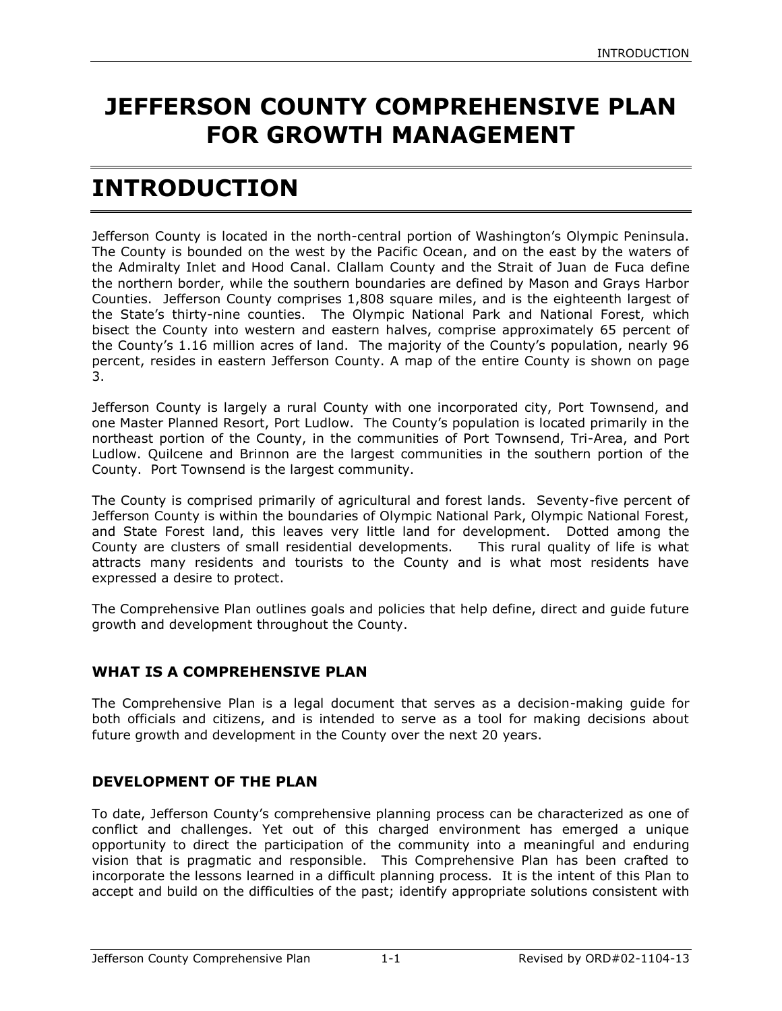# **JEFFERSON COUNTY COMPREHENSIVE PLAN FOR GROWTH MANAGEMENT**

# **INTRODUCTION**

Jefferson County is located in the north-central portion of Washington's Olympic Peninsula. The County is bounded on the west by the Pacific Ocean, and on the east by the waters of the Admiralty Inlet and Hood Canal. Clallam County and the Strait of Juan de Fuca define the northern border, while the southern boundaries are defined by Mason and Grays Harbor Counties. Jefferson County comprises 1,808 square miles, and is the eighteenth largest of the State's thirty-nine counties. The Olympic National Park and National Forest, which bisect the County into western and eastern halves, comprise approximately 65 percent of the County's 1.16 million acres of land. The majority of the County's population, nearly 96 percent, resides in eastern Jefferson County. A map of the entire County is shown on page 3.

Jefferson County is largely a rural County with one incorporated city, Port Townsend, and one Master Planned Resort, Port Ludlow. The County's population is located primarily in the northeast portion of the County, in the communities of Port Townsend, Tri-Area, and Port Ludlow. Quilcene and Brinnon are the largest communities in the southern portion of the County. Port Townsend is the largest community.

The County is comprised primarily of agricultural and forest lands. Seventy-five percent of Jefferson County is within the boundaries of Olympic National Park, Olympic National Forest, and State Forest land, this leaves very little land for development. Dotted among the County are clusters of small residential developments. This rural quality of life is what attracts many residents and tourists to the County and is what most residents have expressed a desire to protect.

The Comprehensive Plan outlines goals and policies that help define, direct and guide future growth and development throughout the County.

# **WHAT IS A COMPREHENSIVE PLAN**

The Comprehensive Plan is a legal document that serves as a decision-making guide for both officials and citizens, and is intended to serve as a tool for making decisions about future growth and development in the County over the next 20 years.

## **DEVELOPMENT OF THE PLAN**

To date, Jefferson County's comprehensive planning process can be characterized as one of conflict and challenges. Yet out of this charged environment has emerged a unique opportunity to direct the participation of the community into a meaningful and enduring vision that is pragmatic and responsible. This Comprehensive Plan has been crafted to incorporate the lessons learned in a difficult planning process. It is the intent of this Plan to accept and build on the difficulties of the past; identify appropriate solutions consistent with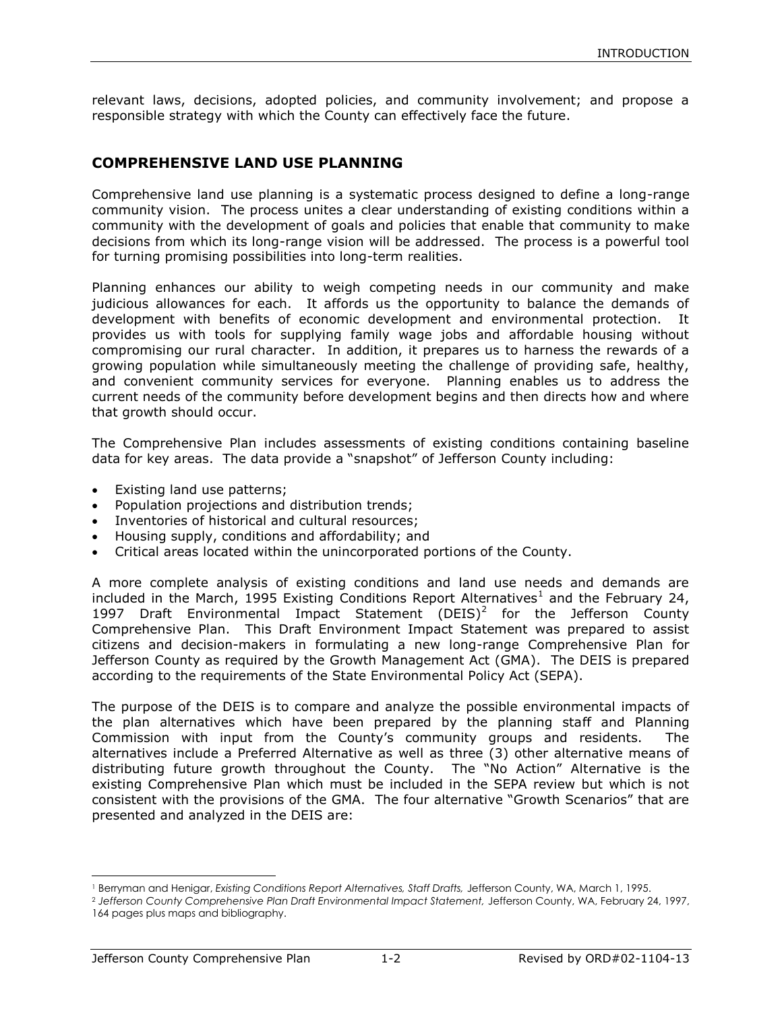relevant laws, decisions, adopted policies, and community involvement; and propose a responsible strategy with which the County can effectively face the future.

## **COMPREHENSIVE LAND USE PLANNING**

Comprehensive land use planning is a systematic process designed to define a long-range community vision. The process unites a clear understanding of existing conditions within a community with the development of goals and policies that enable that community to make decisions from which its long-range vision will be addressed. The process is a powerful tool for turning promising possibilities into long-term realities.

Planning enhances our ability to weigh competing needs in our community and make judicious allowances for each. It affords us the opportunity to balance the demands of development with benefits of economic development and environmental protection. It provides us with tools for supplying family wage jobs and affordable housing without compromising our rural character. In addition, it prepares us to harness the rewards of a growing population while simultaneously meeting the challenge of providing safe, healthy, and convenient community services for everyone. Planning enables us to address the current needs of the community before development begins and then directs how and where that growth should occur.

The Comprehensive Plan includes assessments of existing conditions containing baseline data for key areas. The data provide a "snapshot" of Jefferson County including:

- Existing land use patterns;
- Population projections and distribution trends;
- Inventories of historical and cultural resources;
- Housing supply, conditions and affordability; and
- Critical areas located within the unincorporated portions of the County.

A more complete analysis of existing conditions and land use needs and demands are included in the March, 1995 Existing Conditions Report Alternatives<sup>1</sup> and the February 24, 1997 Draft Environmental Impact Statement (DEIS)<sup>2</sup> for the Jefferson County Comprehensive Plan. This Draft Environment Impact Statement was prepared to assist citizens and decision-makers in formulating a new long-range Comprehensive Plan for Jefferson County as required by the Growth Management Act (GMA). The DEIS is prepared according to the requirements of the State Environmental Policy Act (SEPA).

The purpose of the DEIS is to compare and analyze the possible environmental impacts of the plan alternatives which have been prepared by the planning staff and Planning Commission with input from the County's community groups and residents. The alternatives include a Preferred Alternative as well as three (3) other alternative means of distributing future growth throughout the County. The "No Action" Alternative is the existing Comprehensive Plan which must be included in the SEPA review but which is not consistent with the provisions of the GMA. The four alternative "Growth Scenarios" that are presented and analyzed in the DEIS are:

 $\overline{a}$ 

<sup>1</sup> Berryman and Henigar, *Existing Conditions Report Alternatives, Staff Drafts,* Jefferson County, WA, March 1, 1995.

<sup>&</sup>lt;sup>2</sup> Jefferson County Comprehensive Plan Draft Environmental Impact Statement, Jefferson County, WA, February 24, 1997, 164 pages plus maps and bibliography.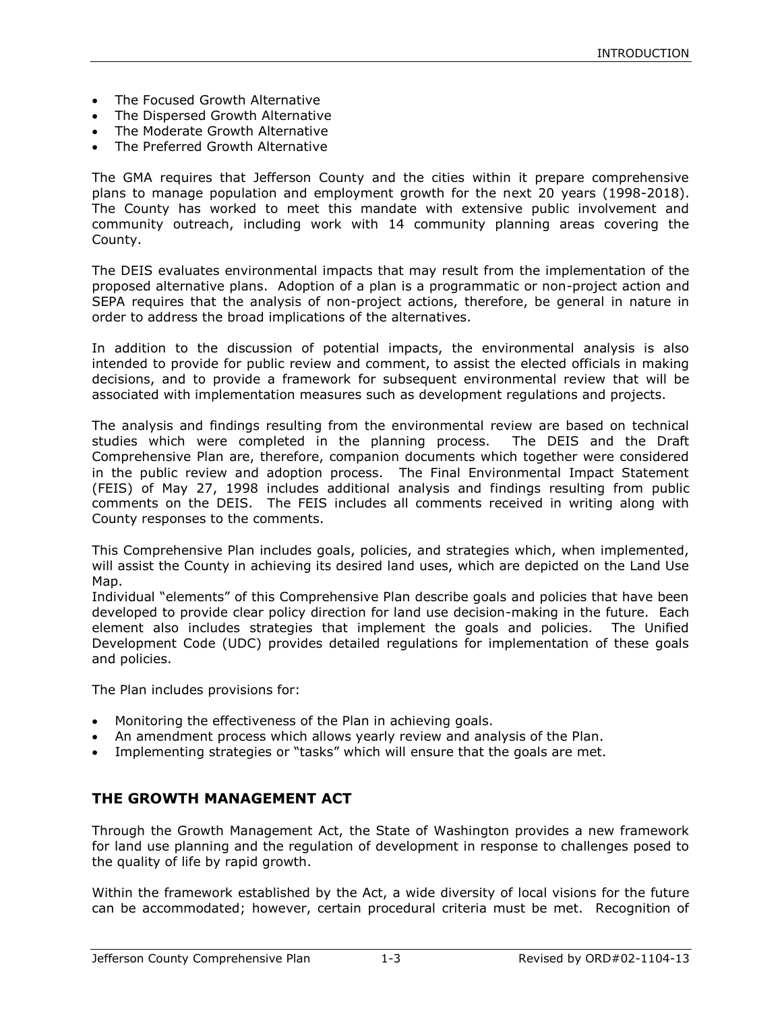- The Focused Growth Alternative
- The Dispersed Growth Alternative
- The Moderate Growth Alternative
- The Preferred Growth Alternative

The GMA requires that Jefferson County and the cities within it prepare comprehensive plans to manage population and employment growth for the next 20 years (1998-2018). The County has worked to meet this mandate with extensive public involvement and community outreach, including work with 14 community planning areas covering the County.

The DEIS evaluates environmental impacts that may result from the implementation of the proposed alternative plans. Adoption of a plan is a programmatic or non-project action and SEPA requires that the analysis of non-project actions, therefore, be general in nature in order to address the broad implications of the alternatives.

In addition to the discussion of potential impacts, the environmental analysis is also intended to provide for public review and comment, to assist the elected officials in making decisions, and to provide a framework for subsequent environmental review that will be associated with implementation measures such as development regulations and projects.

The analysis and findings resulting from the environmental review are based on technical studies which were completed in the planning process. The DEIS and the Draft Comprehensive Plan are, therefore, companion documents which together were considered in the public review and adoption process. The Final Environmental Impact Statement (FEIS) of May 27, 1998 includes additional analysis and findings resulting from public comments on the DEIS. The FEIS includes all comments received in writing along with County responses to the comments.

This Comprehensive Plan includes goals, policies, and strategies which, when implemented, will assist the County in achieving its desired land uses, which are depicted on the Land Use Map.

Individual "elements" of this Comprehensive Plan describe goals and policies that have been developed to provide clear policy direction for land use decision-making in the future. Each element also includes strategies that implement the goals and policies. The Unified Development Code (UDC) provides detailed regulations for implementation of these goals and policies.

The Plan includes provisions for:

- Monitoring the effectiveness of the Plan in achieving goals.
- An amendment process which allows yearly review and analysis of the Plan.
- Implementing strategies or "tasks" which will ensure that the goals are met.

## **THE GROWTH MANAGEMENT ACT**

Through the Growth Management Act, the State of Washington provides a new framework for land use planning and the regulation of development in response to challenges posed to the quality of life by rapid growth.

Within the framework established by the Act, a wide diversity of local visions for the future can be accommodated; however, certain procedural criteria must be met. Recognition of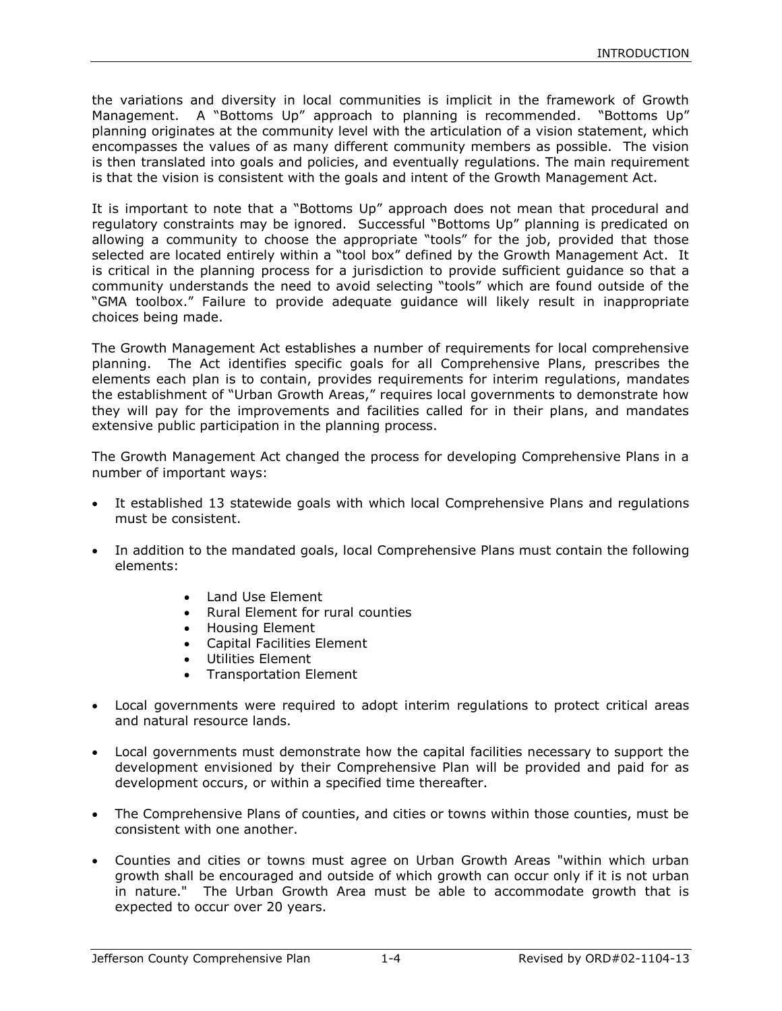the variations and diversity in local communities is implicit in the framework of Growth Management. A "Bottoms Up" approach to planning is recommended. "Bottoms Up" planning originates at the community level with the articulation of a vision statement, which encompasses the values of as many different community members as possible. The vision is then translated into goals and policies, and eventually regulations. The main requirement is that the vision is consistent with the goals and intent of the Growth Management Act.

It is important to note that a "Bottoms Up" approach does not mean that procedural and regulatory constraints may be ignored. Successful "Bottoms Up" planning is predicated on allowing a community to choose the appropriate "tools" for the job, provided that those selected are located entirely within a "tool box" defined by the Growth Management Act. It is critical in the planning process for a jurisdiction to provide sufficient guidance so that a community understands the need to avoid selecting "tools" which are found outside of the "GMA toolbox." Failure to provide adequate guidance will likely result in inappropriate choices being made.

The Growth Management Act establishes a number of requirements for local comprehensive planning. The Act identifies specific goals for all Comprehensive Plans, prescribes the elements each plan is to contain, provides requirements for interim regulations, mandates the establishment of "Urban Growth Areas," requires local governments to demonstrate how they will pay for the improvements and facilities called for in their plans, and mandates extensive public participation in the planning process.

The Growth Management Act changed the process for developing Comprehensive Plans in a number of important ways:

- It established 13 statewide goals with which local Comprehensive Plans and regulations must be consistent.
- In addition to the mandated goals, local Comprehensive Plans must contain the following elements:
	- Land Use Element
	- Rural Element for rural counties
	- Housing Element
	- Capital Facilities Element
	- Utilities Element
	- Transportation Element
- Local governments were required to adopt interim regulations to protect critical areas and natural resource lands.
- Local governments must demonstrate how the capital facilities necessary to support the development envisioned by their Comprehensive Plan will be provided and paid for as development occurs, or within a specified time thereafter.
- The Comprehensive Plans of counties, and cities or towns within those counties, must be consistent with one another.
- Counties and cities or towns must agree on Urban Growth Areas "within which urban growth shall be encouraged and outside of which growth can occur only if it is not urban in nature." The Urban Growth Area must be able to accommodate growth that is expected to occur over 20 years.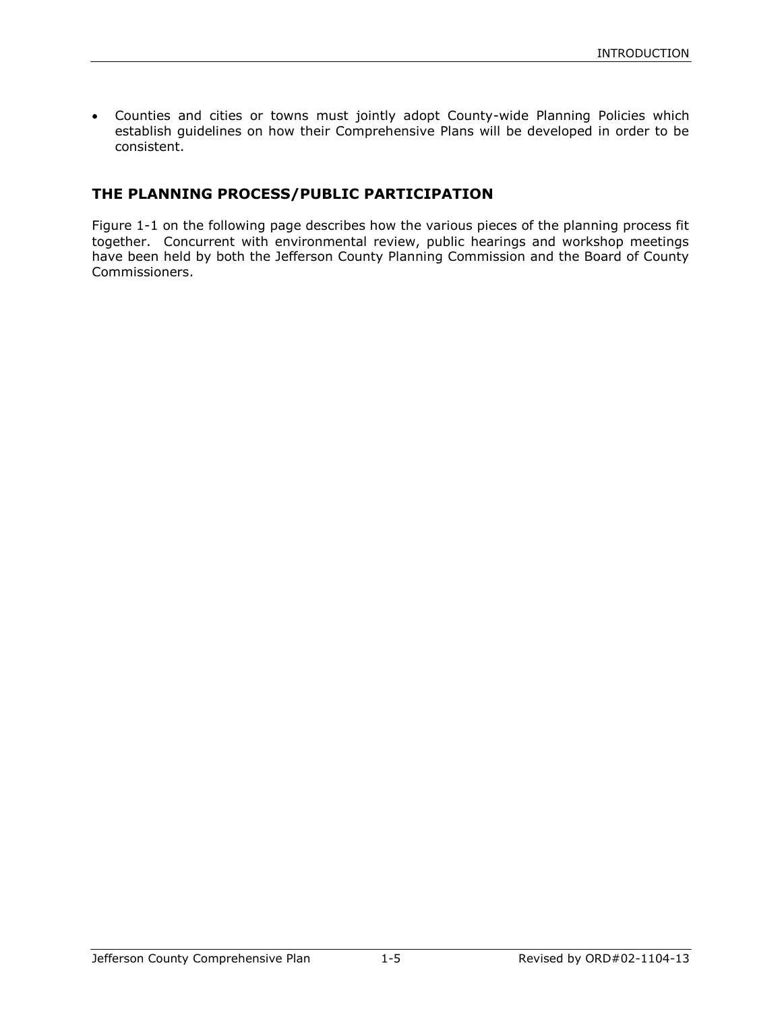Counties and cities or towns must jointly adopt County-wide Planning Policies which establish guidelines on how their Comprehensive Plans will be developed in order to be consistent.

## **THE PLANNING PROCESS/PUBLIC PARTICIPATION**

Figure 1-1 on the following page describes how the various pieces of the planning process fit together. Concurrent with environmental review, public hearings and workshop meetings have been held by both the Jefferson County Planning Commission and the Board of County Commissioners.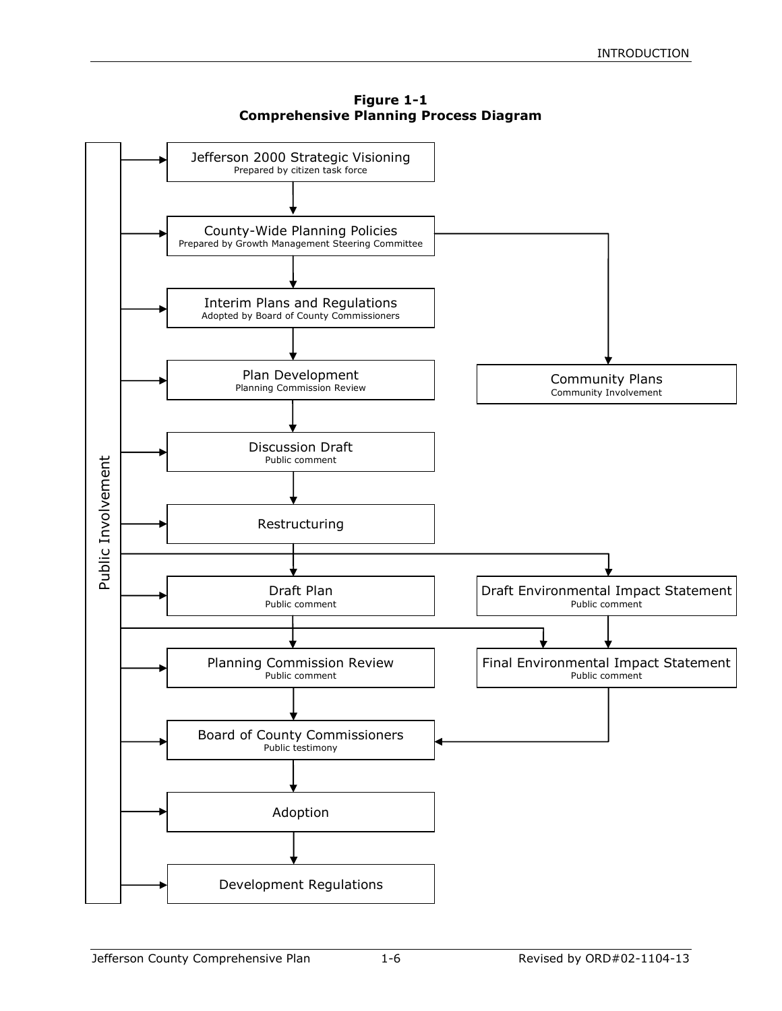

**Figure 1-1 Comprehensive Planning Process Diagram**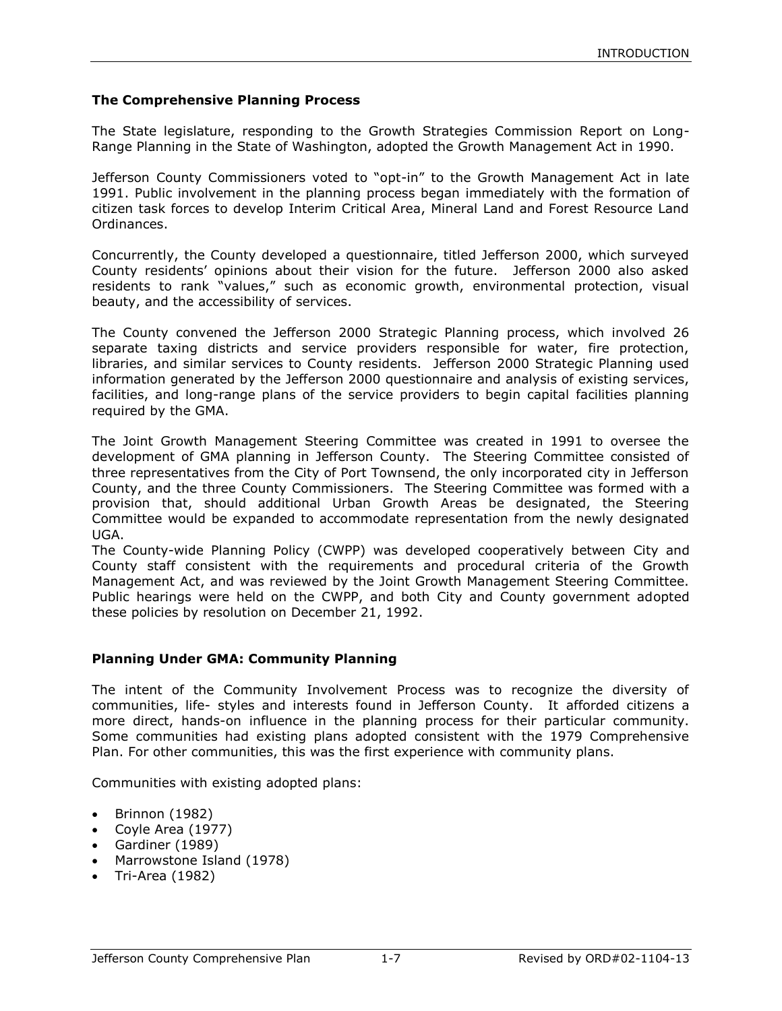#### **The Comprehensive Planning Process**

The State legislature, responding to the Growth Strategies Commission Report on Long-Range Planning in the State of Washington, adopted the Growth Management Act in 1990.

Jefferson County Commissioners voted to "opt-in" to the Growth Management Act in late 1991. Public involvement in the planning process began immediately with the formation of citizen task forces to develop Interim Critical Area, Mineral Land and Forest Resource Land Ordinances.

Concurrently, the County developed a questionnaire, titled Jefferson 2000, which surveyed County residents' opinions about their vision for the future. Jefferson 2000 also asked residents to rank "values," such as economic growth, environmental protection, visual beauty, and the accessibility of services.

The County convened the Jefferson 2000 Strategic Planning process, which involved 26 separate taxing districts and service providers responsible for water, fire protection, libraries, and similar services to County residents. Jefferson 2000 Strategic Planning used information generated by the Jefferson 2000 questionnaire and analysis of existing services, facilities, and long-range plans of the service providers to begin capital facilities planning required by the GMA.

The Joint Growth Management Steering Committee was created in 1991 to oversee the development of GMA planning in Jefferson County. The Steering Committee consisted of three representatives from the City of Port Townsend, the only incorporated city in Jefferson County, and the three County Commissioners. The Steering Committee was formed with a provision that, should additional Urban Growth Areas be designated, the Steering Committee would be expanded to accommodate representation from the newly designated UGA.

The County-wide Planning Policy (CWPP) was developed cooperatively between City and County staff consistent with the requirements and procedural criteria of the Growth Management Act, and was reviewed by the Joint Growth Management Steering Committee. Public hearings were held on the CWPP, and both City and County government adopted these policies by resolution on December 21, 1992.

#### **Planning Under GMA: Community Planning**

The intent of the Community Involvement Process was to recognize the diversity of communities, life- styles and interests found in Jefferson County. It afforded citizens a more direct, hands-on influence in the planning process for their particular community. Some communities had existing plans adopted consistent with the 1979 Comprehensive Plan. For other communities, this was the first experience with community plans.

Communities with existing adopted plans:

- $\bullet$  Brinnon (1982)
- Coyle Area (1977)
- Gardiner (1989)
- Marrowstone Island (1978)
- $\bullet$  Tri-Area (1982)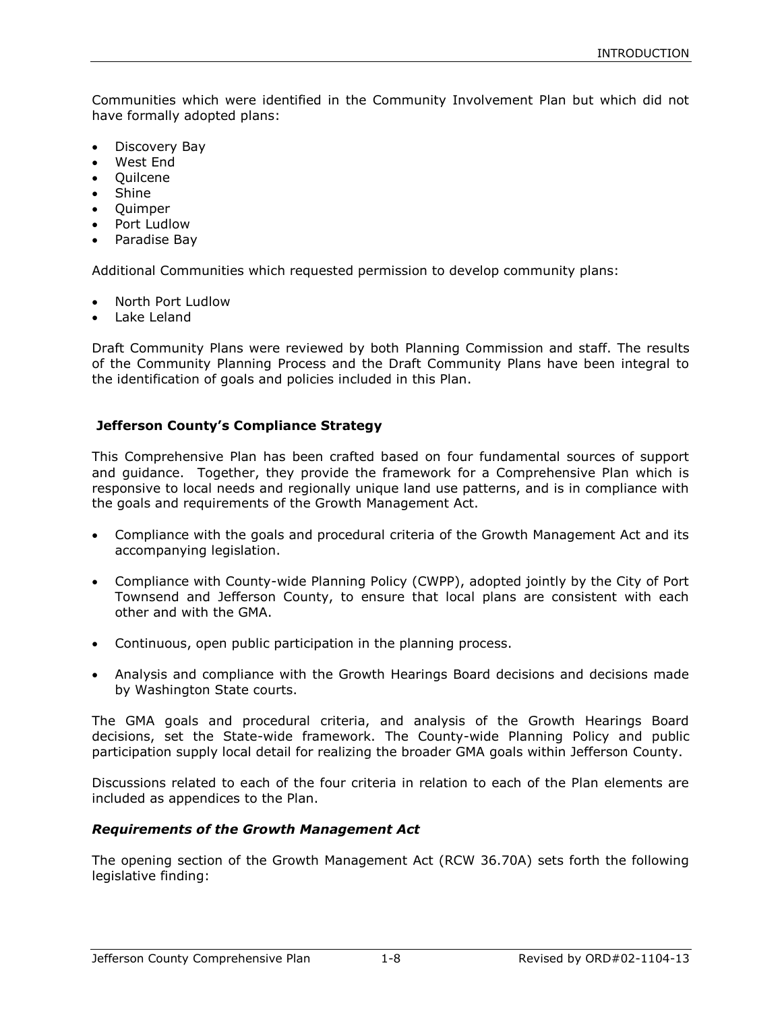Communities which were identified in the Community Involvement Plan but which did not have formally adopted plans:

- Discovery Bay
- West End
- Ouilcene
- Shine
- Ouimper
- Port Ludlow
- Paradise Bay

Additional Communities which requested permission to develop community plans:

- North Port Ludlow
- Lake Leland

Draft Community Plans were reviewed by both Planning Commission and staff. The results of the Community Planning Process and the Draft Community Plans have been integral to the identification of goals and policies included in this Plan.

## **Jefferson County's Compliance Strategy**

This Comprehensive Plan has been crafted based on four fundamental sources of support and guidance. Together, they provide the framework for a Comprehensive Plan which is responsive to local needs and regionally unique land use patterns, and is in compliance with the goals and requirements of the Growth Management Act.

- Compliance with the goals and procedural criteria of the Growth Management Act and its accompanying legislation.
- Compliance with County-wide Planning Policy (CWPP), adopted jointly by the City of Port Townsend and Jefferson County, to ensure that local plans are consistent with each other and with the GMA.
- Continuous, open public participation in the planning process.
- Analysis and compliance with the Growth Hearings Board decisions and decisions made by Washington State courts.

The GMA goals and procedural criteria, and analysis of the Growth Hearings Board decisions, set the State-wide framework. The County-wide Planning Policy and public participation supply local detail for realizing the broader GMA goals within Jefferson County.

Discussions related to each of the four criteria in relation to each of the Plan elements are included as appendices to the Plan.

## *Requirements of the Growth Management Act*

The opening section of the Growth Management Act (RCW 36.70A) sets forth the following legislative finding: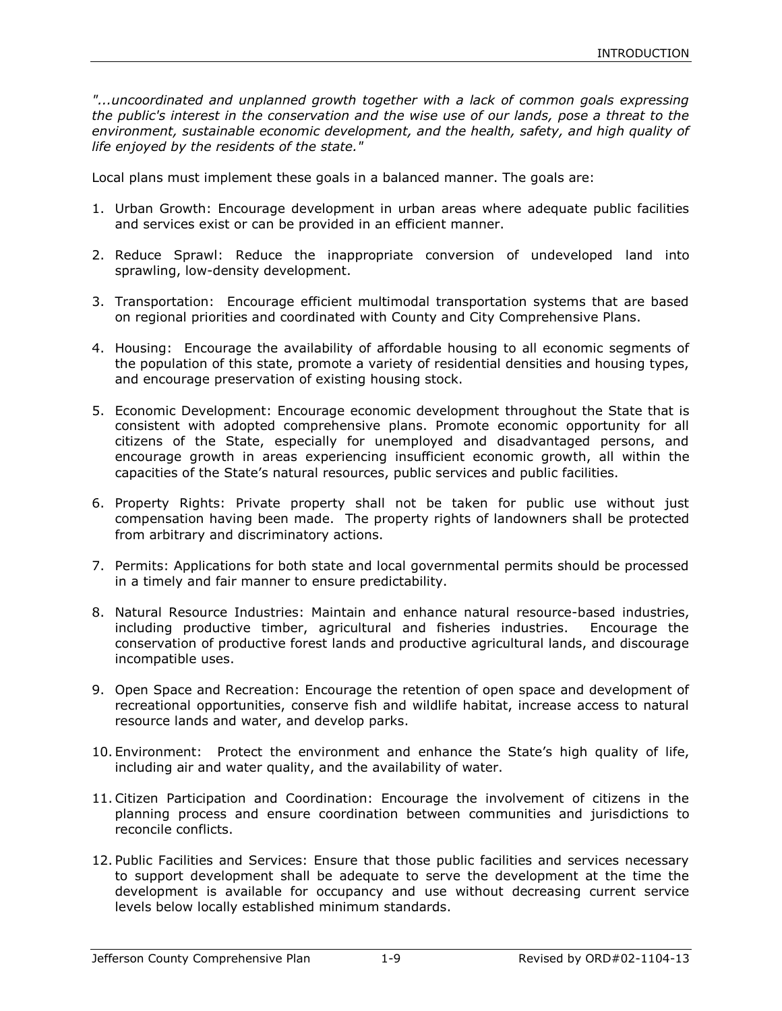*"...uncoordinated and unplanned growth together with a lack of common goals expressing the public's interest in the conservation and the wise use of our lands, pose a threat to the environment, sustainable economic development, and the health, safety, and high quality of life enjoyed by the residents of the state."*

Local plans must implement these goals in a balanced manner. The goals are:

- 1. Urban Growth: Encourage development in urban areas where adequate public facilities and services exist or can be provided in an efficient manner.
- 2. Reduce Sprawl: Reduce the inappropriate conversion of undeveloped land into sprawling, low-density development.
- 3. Transportation: Encourage efficient multimodal transportation systems that are based on regional priorities and coordinated with County and City Comprehensive Plans.
- 4. Housing: Encourage the availability of affordable housing to all economic segments of the population of this state, promote a variety of residential densities and housing types, and encourage preservation of existing housing stock.
- 5. Economic Development: Encourage economic development throughout the State that is consistent with adopted comprehensive plans. Promote economic opportunity for all citizens of the State, especially for unemployed and disadvantaged persons, and encourage growth in areas experiencing insufficient economic growth, all within the capacities of the State's natural resources, public services and public facilities.
- 6. Property Rights: Private property shall not be taken for public use without just compensation having been made. The property rights of landowners shall be protected from arbitrary and discriminatory actions.
- 7. Permits: Applications for both state and local governmental permits should be processed in a timely and fair manner to ensure predictability.
- 8. Natural Resource Industries: Maintain and enhance natural resource-based industries, including productive timber, agricultural and fisheries industries. Encourage the conservation of productive forest lands and productive agricultural lands, and discourage incompatible uses.
- 9. Open Space and Recreation: Encourage the retention of open space and development of recreational opportunities, conserve fish and wildlife habitat, increase access to natural resource lands and water, and develop parks.
- 10. Environment: Protect the environment and enhance the State's high quality of life, including air and water quality, and the availability of water.
- 11.Citizen Participation and Coordination: Encourage the involvement of citizens in the planning process and ensure coordination between communities and jurisdictions to reconcile conflicts.
- 12. Public Facilities and Services: Ensure that those public facilities and services necessary to support development shall be adequate to serve the development at the time the development is available for occupancy and use without decreasing current service levels below locally established minimum standards.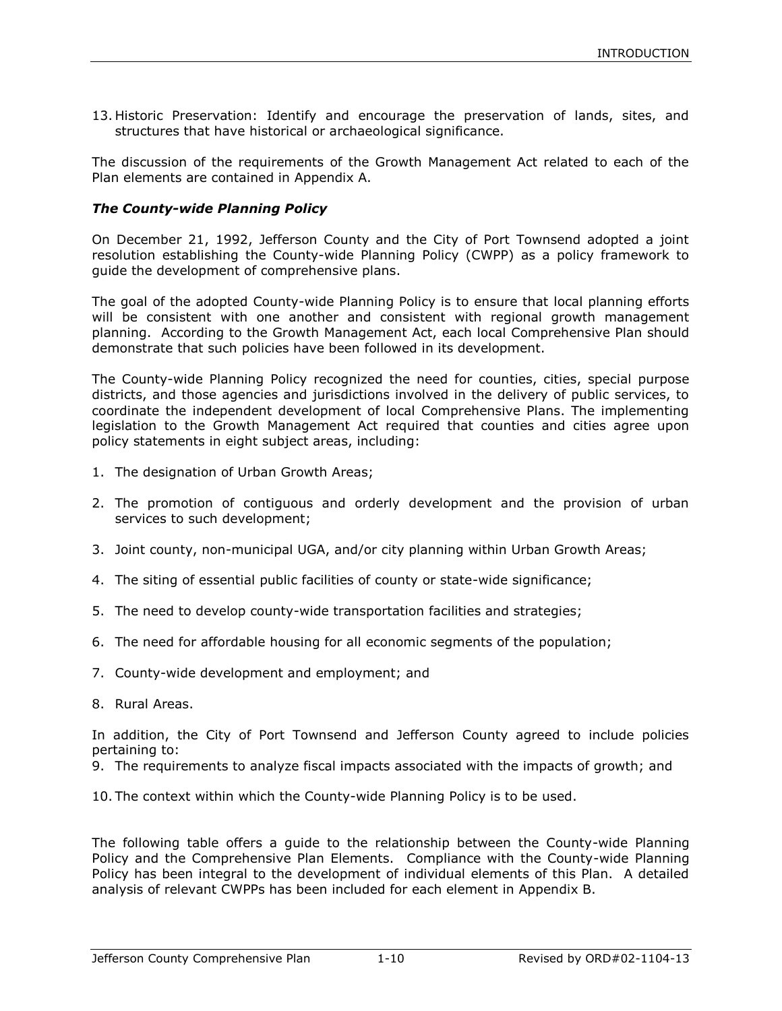13. Historic Preservation: Identify and encourage the preservation of lands, sites, and structures that have historical or archaeological significance.

The discussion of the requirements of the Growth Management Act related to each of the Plan elements are contained in Appendix A.

#### *The County-wide Planning Policy*

On December 21, 1992, Jefferson County and the City of Port Townsend adopted a joint resolution establishing the County-wide Planning Policy (CWPP) as a policy framework to guide the development of comprehensive plans.

The goal of the adopted County-wide Planning Policy is to ensure that local planning efforts will be consistent with one another and consistent with regional growth management planning. According to the Growth Management Act, each local Comprehensive Plan should demonstrate that such policies have been followed in its development.

The County-wide Planning Policy recognized the need for counties, cities, special purpose districts, and those agencies and jurisdictions involved in the delivery of public services, to coordinate the independent development of local Comprehensive Plans. The implementing legislation to the Growth Management Act required that counties and cities agree upon policy statements in eight subject areas, including:

- 1. The designation of Urban Growth Areas;
- 2. The promotion of contiguous and orderly development and the provision of urban services to such development;
- 3. Joint county, non-municipal UGA, and/or city planning within Urban Growth Areas;
- 4. The siting of essential public facilities of county or state-wide significance;
- 5. The need to develop county-wide transportation facilities and strategies;
- 6. The need for affordable housing for all economic segments of the population;
- 7. County-wide development and employment; and
- 8. Rural Areas.

In addition, the City of Port Townsend and Jefferson County agreed to include policies pertaining to:

9. The requirements to analyze fiscal impacts associated with the impacts of growth; and

10. The context within which the County-wide Planning Policy is to be used.

The following table offers a guide to the relationship between the County-wide Planning Policy and the Comprehensive Plan Elements. Compliance with the County-wide Planning Policy has been integral to the development of individual elements of this Plan. A detailed analysis of relevant CWPPs has been included for each element in Appendix B.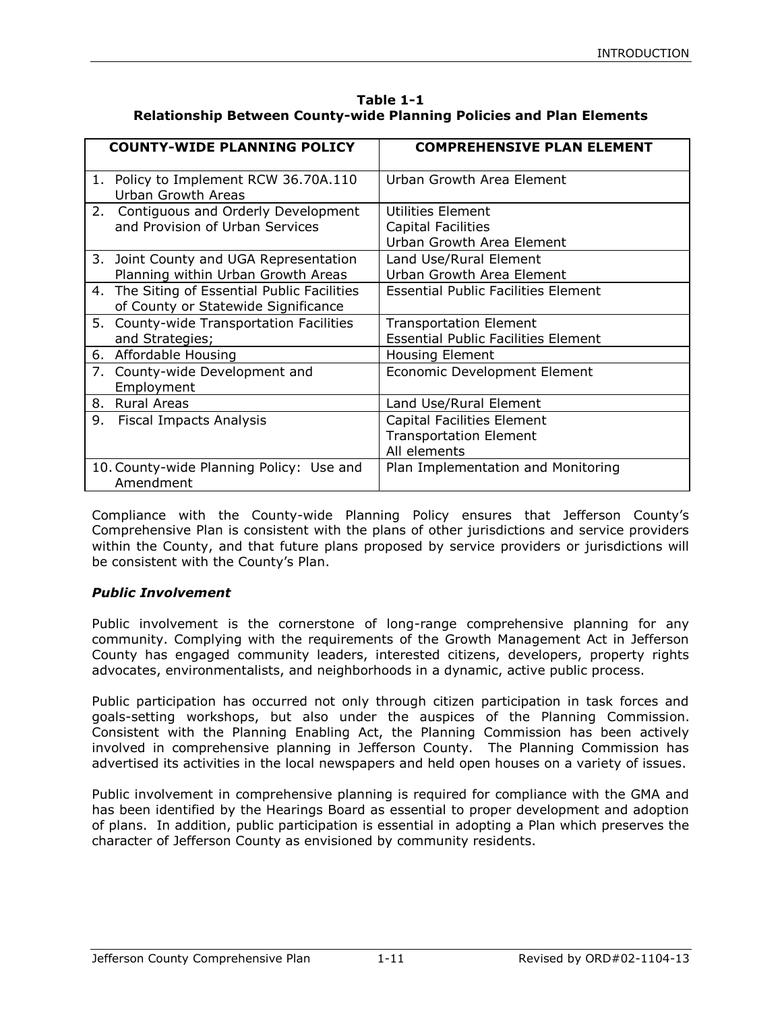| Table 1-1                                                                   |
|-----------------------------------------------------------------------------|
| <b>Relationship Between County-wide Planning Policies and Plan Elements</b> |

| <b>COUNTY-WIDE PLANNING POLICY</b>                                                  | <b>COMPREHENSIVE PLAN ELEMENT</b>                                                  |
|-------------------------------------------------------------------------------------|------------------------------------------------------------------------------------|
| 1. Policy to Implement RCW 36.70A.110<br><b>Urban Growth Areas</b>                  | Urban Growth Area Element                                                          |
| 2. Contiguous and Orderly Development<br>and Provision of Urban Services            | Utilities Element<br>Capital Facilities<br>Urban Growth Area Element               |
| 3. Joint County and UGA Representation<br>Planning within Urban Growth Areas        | Land Use/Rural Element<br>Urban Growth Area Element                                |
| 4. The Siting of Essential Public Facilities<br>of County or Statewide Significance | <b>Essential Public Facilities Element</b>                                         |
| 5. County-wide Transportation Facilities<br>and Strategies;                         | <b>Transportation Element</b><br><b>Essential Public Facilities Element</b>        |
| 6. Affordable Housing                                                               | <b>Housing Element</b>                                                             |
| 7. County-wide Development and<br>Employment                                        | Economic Development Element                                                       |
| <b>Rural Areas</b><br>8.                                                            | Land Use/Rural Element                                                             |
| 9.<br><b>Fiscal Impacts Analysis</b>                                                | <b>Capital Facilities Element</b><br><b>Transportation Element</b><br>All elements |
| 10. County-wide Planning Policy: Use and<br>Amendment                               | Plan Implementation and Monitoring                                                 |

Compliance with the County-wide Planning Policy ensures that Jefferson County's Comprehensive Plan is consistent with the plans of other jurisdictions and service providers within the County, and that future plans proposed by service providers or jurisdictions will be consistent with the County's Plan.

## *Public Involvement*

Public involvement is the cornerstone of long-range comprehensive planning for any community. Complying with the requirements of the Growth Management Act in Jefferson County has engaged community leaders, interested citizens, developers, property rights advocates, environmentalists, and neighborhoods in a dynamic, active public process.

Public participation has occurred not only through citizen participation in task forces and goals-setting workshops, but also under the auspices of the Planning Commission. Consistent with the Planning Enabling Act, the Planning Commission has been actively involved in comprehensive planning in Jefferson County. The Planning Commission has advertised its activities in the local newspapers and held open houses on a variety of issues.

Public involvement in comprehensive planning is required for compliance with the GMA and has been identified by the Hearings Board as essential to proper development and adoption of plans. In addition, public participation is essential in adopting a Plan which preserves the character of Jefferson County as envisioned by community residents.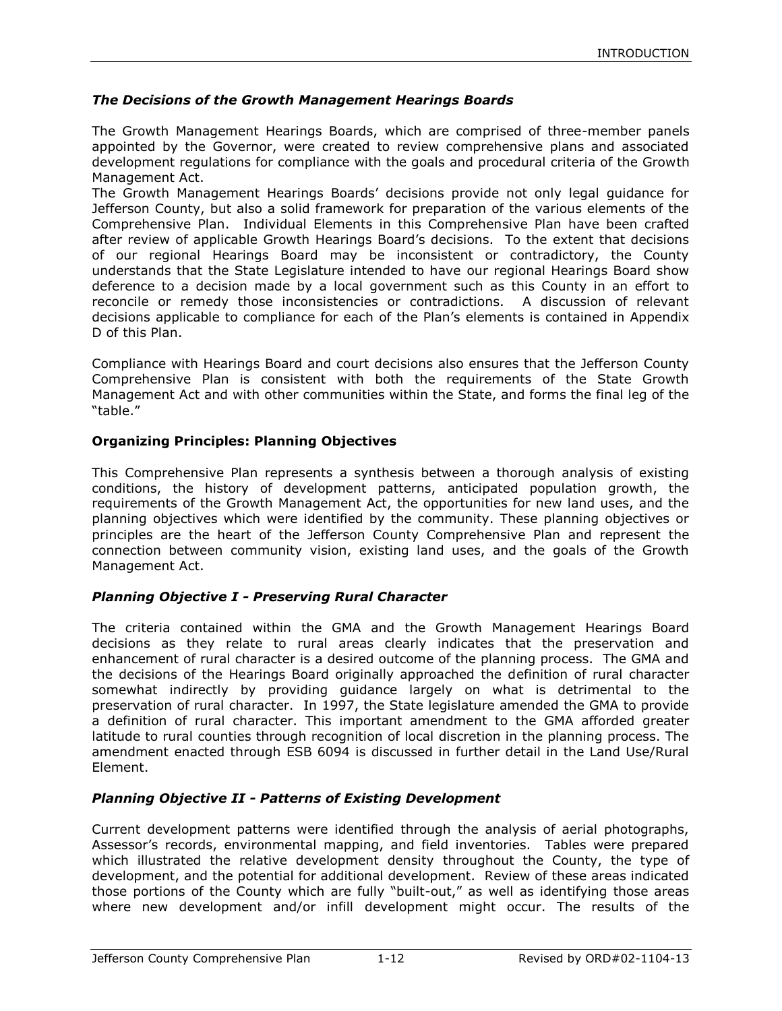### *The Decisions of the Growth Management Hearings Boards*

The Growth Management Hearings Boards, which are comprised of three-member panels appointed by the Governor, were created to review comprehensive plans and associated development regulations for compliance with the goals and procedural criteria of the Growth Management Act.

The Growth Management Hearings Boards' decisions provide not only legal guidance for Jefferson County, but also a solid framework for preparation of the various elements of the Comprehensive Plan. Individual Elements in this Comprehensive Plan have been crafted after review of applicable Growth Hearings Board's decisions. To the extent that decisions of our regional Hearings Board may be inconsistent or contradictory, the County understands that the State Legislature intended to have our regional Hearings Board show deference to a decision made by a local government such as this County in an effort to reconcile or remedy those inconsistencies or contradictions. A discussion of relevant decisions applicable to compliance for each of the Plan's elements is contained in Appendix D of this Plan.

Compliance with Hearings Board and court decisions also ensures that the Jefferson County Comprehensive Plan is consistent with both the requirements of the State Growth Management Act and with other communities within the State, and forms the final leg of the "table."

#### **Organizing Principles: Planning Objectives**

This Comprehensive Plan represents a synthesis between a thorough analysis of existing conditions, the history of development patterns, anticipated population growth, the requirements of the Growth Management Act, the opportunities for new land uses, and the planning objectives which were identified by the community. These planning objectives or principles are the heart of the Jefferson County Comprehensive Plan and represent the connection between community vision, existing land uses, and the goals of the Growth Management Act.

## *Planning Objective I - Preserving Rural Character*

The criteria contained within the GMA and the Growth Management Hearings Board decisions as they relate to rural areas clearly indicates that the preservation and enhancement of rural character is a desired outcome of the planning process. The GMA and the decisions of the Hearings Board originally approached the definition of rural character somewhat indirectly by providing guidance largely on what is detrimental to the preservation of rural character. In 1997, the State legislature amended the GMA to provide a definition of rural character. This important amendment to the GMA afforded greater latitude to rural counties through recognition of local discretion in the planning process. The amendment enacted through ESB 6094 is discussed in further detail in the Land Use/Rural Element.

## *Planning Objective II - Patterns of Existing Development*

Current development patterns were identified through the analysis of aerial photographs, Assessor's records, environmental mapping, and field inventories. Tables were prepared which illustrated the relative development density throughout the County, the type of development, and the potential for additional development. Review of these areas indicated those portions of the County which are fully "built-out," as well as identifying those areas where new development and/or infill development might occur. The results of the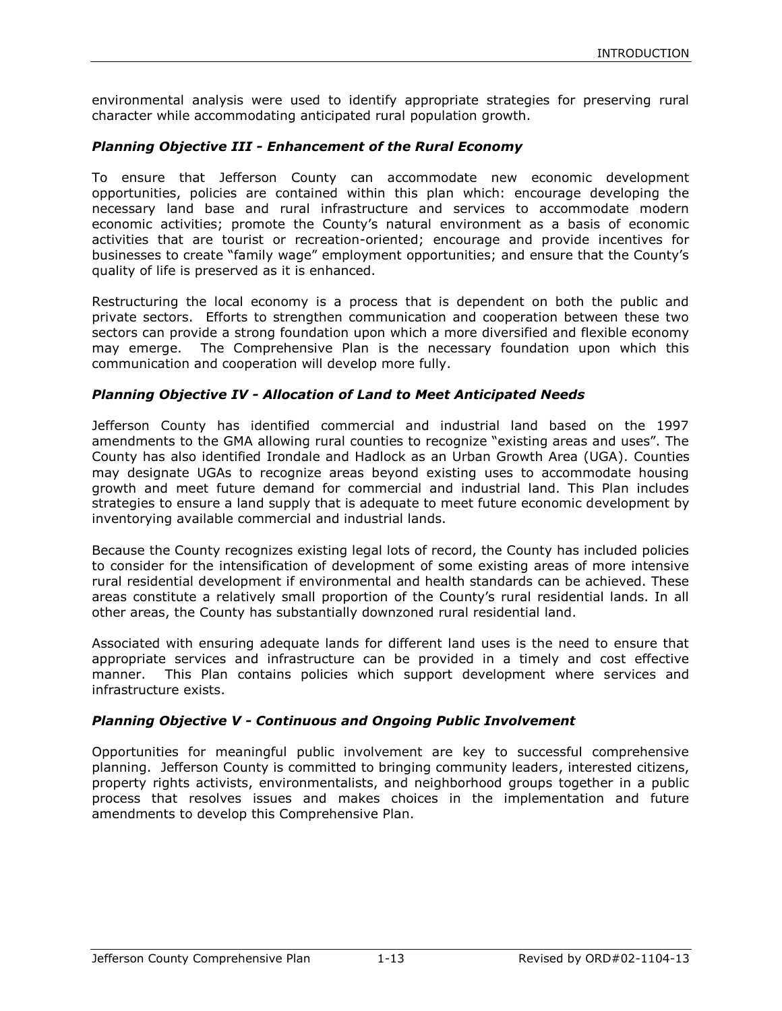environmental analysis were used to identify appropriate strategies for preserving rural character while accommodating anticipated rural population growth.

#### *Planning Objective III - Enhancement of the Rural Economy*

To ensure that Jefferson County can accommodate new economic development opportunities, policies are contained within this plan which: encourage developing the necessary land base and rural infrastructure and services to accommodate modern economic activities; promote the County's natural environment as a basis of economic activities that are tourist or recreation-oriented; encourage and provide incentives for businesses to create "family wage" employment opportunities; and ensure that the County's quality of life is preserved as it is enhanced.

Restructuring the local economy is a process that is dependent on both the public and private sectors. Efforts to strengthen communication and cooperation between these two sectors can provide a strong foundation upon which a more diversified and flexible economy may emerge. The Comprehensive Plan is the necessary foundation upon which this communication and cooperation will develop more fully.

#### *Planning Objective IV - Allocation of Land to Meet Anticipated Needs*

Jefferson County has identified commercial and industrial land based on the 1997 amendments to the GMA allowing rural counties to recognize "existing areas and uses". The County has also identified Irondale and Hadlock as an Urban Growth Area (UGA). Counties may designate UGAs to recognize areas beyond existing uses to accommodate housing growth and meet future demand for commercial and industrial land. This Plan includes strategies to ensure a land supply that is adequate to meet future economic development by inventorying available commercial and industrial lands.

Because the County recognizes existing legal lots of record, the County has included policies to consider for the intensification of development of some existing areas of more intensive rural residential development if environmental and health standards can be achieved. These areas constitute a relatively small proportion of the County's rural residential lands. In all other areas, the County has substantially downzoned rural residential land.

Associated with ensuring adequate lands for different land uses is the need to ensure that appropriate services and infrastructure can be provided in a timely and cost effective manner. This Plan contains policies which support development where services and infrastructure exists.

#### *Planning Objective V - Continuous and Ongoing Public Involvement*

Opportunities for meaningful public involvement are key to successful comprehensive planning. Jefferson County is committed to bringing community leaders, interested citizens, property rights activists, environmentalists, and neighborhood groups together in a public process that resolves issues and makes choices in the implementation and future amendments to develop this Comprehensive Plan.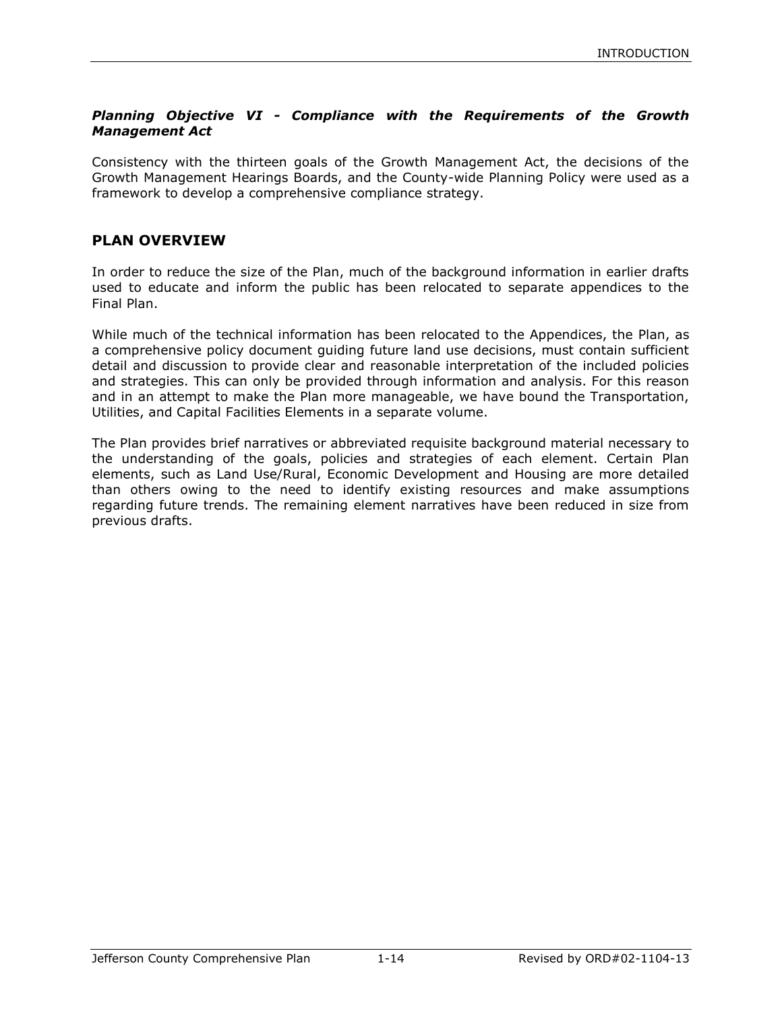## *Planning Objective VI - Compliance with the Requirements of the Growth Management Act*

Consistency with the thirteen goals of the Growth Management Act, the decisions of the Growth Management Hearings Boards, and the County-wide Planning Policy were used as a framework to develop a comprehensive compliance strategy.

## **PLAN OVERVIEW**

In order to reduce the size of the Plan, much of the background information in earlier drafts used to educate and inform the public has been relocated to separate appendices to the Final Plan.

While much of the technical information has been relocated to the Appendices, the Plan, as a comprehensive policy document guiding future land use decisions, must contain sufficient detail and discussion to provide clear and reasonable interpretation of the included policies and strategies. This can only be provided through information and analysis. For this reason and in an attempt to make the Plan more manageable, we have bound the Transportation, Utilities, and Capital Facilities Elements in a separate volume.

The Plan provides brief narratives or abbreviated requisite background material necessary to the understanding of the goals, policies and strategies of each element. Certain Plan elements, such as Land Use/Rural, Economic Development and Housing are more detailed than others owing to the need to identify existing resources and make assumptions regarding future trends. The remaining element narratives have been reduced in size from previous drafts.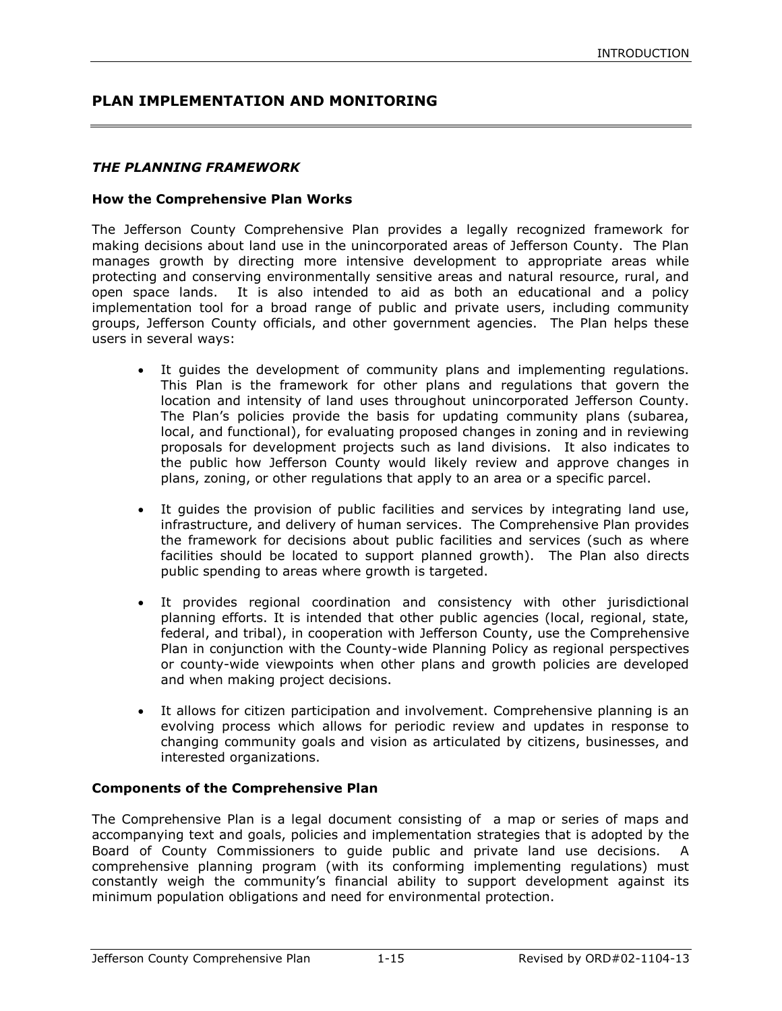## **PLAN IMPLEMENTATION AND MONITORING**

#### *THE PLANNING FRAMEWORK*

#### **How the Comprehensive Plan Works**

The Jefferson County Comprehensive Plan provides a legally recognized framework for making decisions about land use in the unincorporated areas of Jefferson County. The Plan manages growth by directing more intensive development to appropriate areas while protecting and conserving environmentally sensitive areas and natural resource, rural, and open space lands. It is also intended to aid as both an educational and a policy implementation tool for a broad range of public and private users, including community groups, Jefferson County officials, and other government agencies. The Plan helps these users in several ways:

- It guides the development of community plans and implementing regulations. This Plan is the framework for other plans and regulations that govern the location and intensity of land uses throughout unincorporated Jefferson County. The Plan's policies provide the basis for updating community plans (subarea, local, and functional), for evaluating proposed changes in zoning and in reviewing proposals for development projects such as land divisions. It also indicates to the public how Jefferson County would likely review and approve changes in plans, zoning, or other regulations that apply to an area or a specific parcel.
- It guides the provision of public facilities and services by integrating land use, infrastructure, and delivery of human services. The Comprehensive Plan provides the framework for decisions about public facilities and services (such as where facilities should be located to support planned growth). The Plan also directs public spending to areas where growth is targeted.
- It provides regional coordination and consistency with other jurisdictional planning efforts. It is intended that other public agencies (local, regional, state, federal, and tribal), in cooperation with Jefferson County, use the Comprehensive Plan in conjunction with the County-wide Planning Policy as regional perspectives or county-wide viewpoints when other plans and growth policies are developed and when making project decisions.
- It allows for citizen participation and involvement. Comprehensive planning is an evolving process which allows for periodic review and updates in response to changing community goals and vision as articulated by citizens, businesses, and interested organizations.

#### **Components of the Comprehensive Plan**

The Comprehensive Plan is a legal document consisting of a map or series of maps and accompanying text and goals, policies and implementation strategies that is adopted by the Board of County Commissioners to guide public and private land use decisions. A comprehensive planning program (with its conforming implementing regulations) must constantly weigh the community's financial ability to support development against its minimum population obligations and need for environmental protection.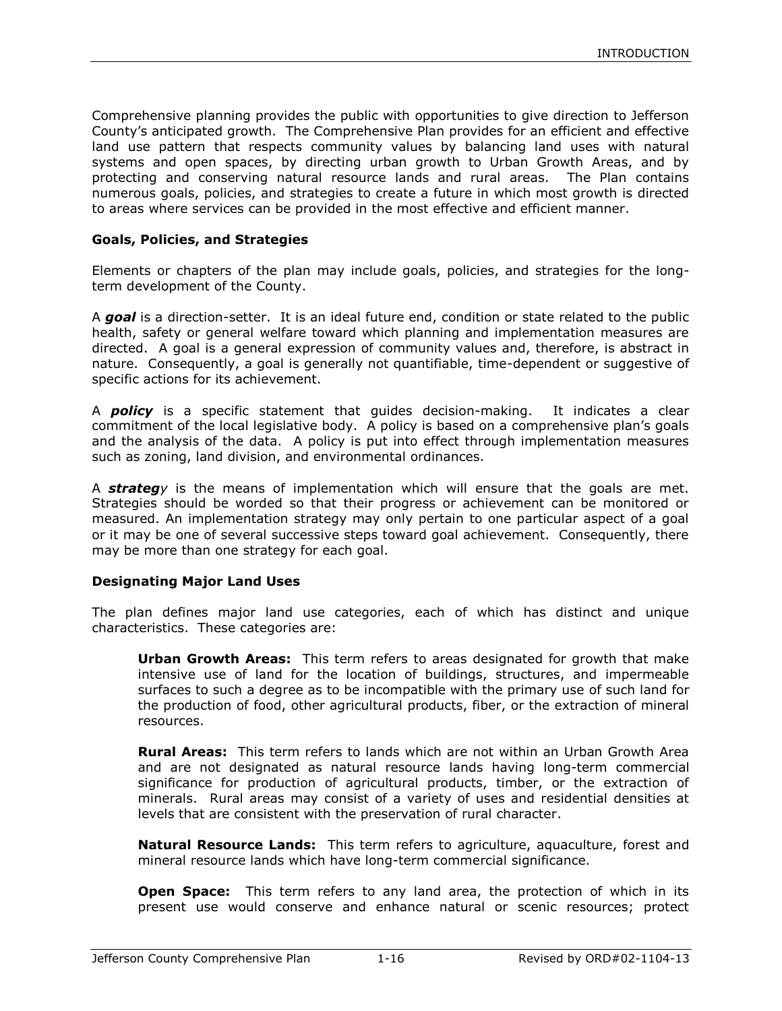Comprehensive planning provides the public with opportunities to give direction to Jefferson County's anticipated growth. The Comprehensive Plan provides for an efficient and effective land use pattern that respects community values by balancing land uses with natural systems and open spaces, by directing urban growth to Urban Growth Areas, and by protecting and conserving natural resource lands and rural areas. The Plan contains numerous goals, policies, and strategies to create a future in which most growth is directed to areas where services can be provided in the most effective and efficient manner.

#### **Goals, Policies, and Strategies**

Elements or chapters of the plan may include goals, policies, and strategies for the longterm development of the County.

A *goal* is a direction-setter. It is an ideal future end, condition or state related to the public health, safety or general welfare toward which planning and implementation measures are directed. A goal is a general expression of community values and, therefore, is abstract in nature. Consequently, a goal is generally not quantifiable, time-dependent or suggestive of specific actions for its achievement.

A *policy* is a specific statement that guides decision-making. It indicates a clear commitment of the local legislative body. A policy is based on a comprehensive plan's goals and the analysis of the data. A policy is put into effect through implementation measures such as zoning, land division, and environmental ordinances.

A *strategy* is the means of implementation which will ensure that the goals are met. Strategies should be worded so that their progress or achievement can be monitored or measured. An implementation strategy may only pertain to one particular aspect of a goal or it may be one of several successive steps toward goal achievement. Consequently, there may be more than one strategy for each goal.

#### **Designating Major Land Uses**

The plan defines major land use categories, each of which has distinct and unique characteristics. These categories are:

**Urban Growth Areas:** This term refers to areas designated for growth that make intensive use of land for the location of buildings, structures, and impermeable surfaces to such a degree as to be incompatible with the primary use of such land for the production of food, other agricultural products, fiber, or the extraction of mineral resources.

**Rural Areas:** This term refers to lands which are not within an Urban Growth Area and are not designated as natural resource lands having long-term commercial significance for production of agricultural products, timber, or the extraction of minerals. Rural areas may consist of a variety of uses and residential densities at levels that are consistent with the preservation of rural character.

**Natural Resource Lands:** This term refers to agriculture, aquaculture, forest and mineral resource lands which have long-term commercial significance.

**Open Space:** This term refers to any land area, the protection of which in its present use would conserve and enhance natural or scenic resources; protect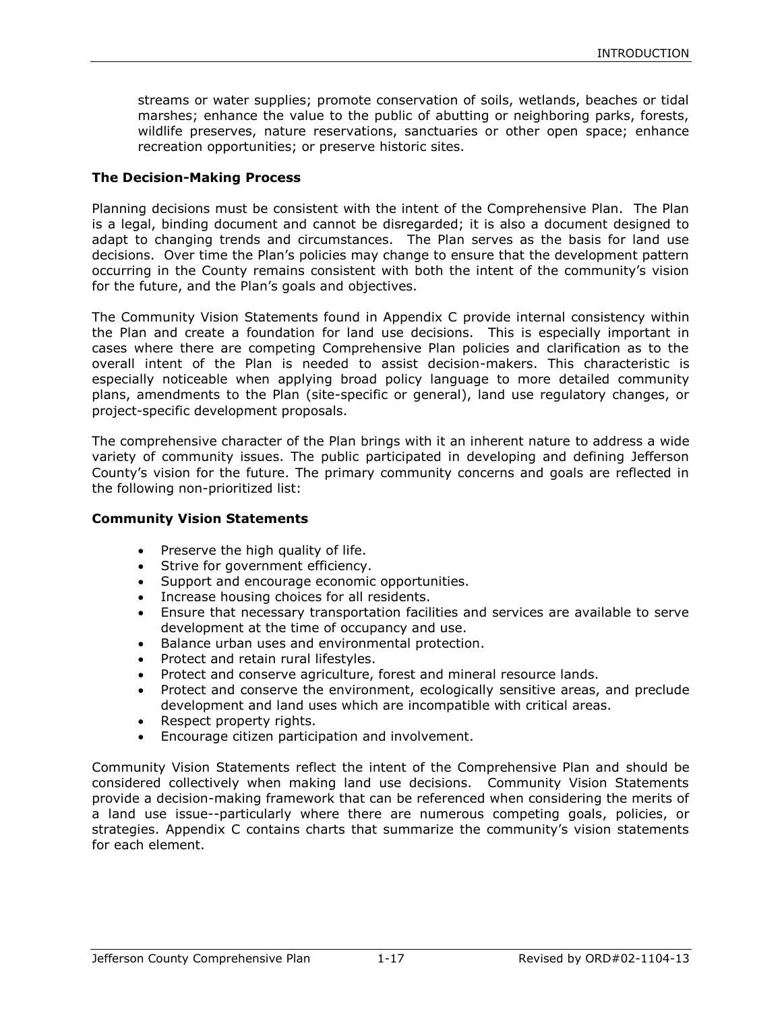streams or water supplies; promote conservation of soils, wetlands, beaches or tidal marshes; enhance the value to the public of abutting or neighboring parks, forests, wildlife preserves, nature reservations, sanctuaries or other open space; enhance recreation opportunities; or preserve historic sites.

#### **The Decision-Making Process**

Planning decisions must be consistent with the intent of the Comprehensive Plan. The Plan is a legal, binding document and cannot be disregarded; it is also a document designed to adapt to changing trends and circumstances. The Plan serves as the basis for land use decisions. Over time the Plan's policies may change to ensure that the development pattern occurring in the County remains consistent with both the intent of the community's vision for the future, and the Plan's goals and objectives.

The Community Vision Statements found in Appendix C provide internal consistency within the Plan and create a foundation for land use decisions. This is especially important in cases where there are competing Comprehensive Plan policies and clarification as to the overall intent of the Plan is needed to assist decision-makers. This characteristic is especially noticeable when applying broad policy language to more detailed community plans, amendments to the Plan (site-specific or general), land use regulatory changes, or project-specific development proposals.

The comprehensive character of the Plan brings with it an inherent nature to address a wide variety of community issues. The public participated in developing and defining Jefferson County's vision for the future. The primary community concerns and goals are reflected in the following non-prioritized list:

#### **Community Vision Statements**

- Preserve the high quality of life.
- Strive for government efficiency.
- Support and encourage economic opportunities.
- Increase housing choices for all residents.
- Ensure that necessary transportation facilities and services are available to serve development at the time of occupancy and use.
- Balance urban uses and environmental protection.
- Protect and retain rural lifestyles.
- Protect and conserve agriculture, forest and mineral resource lands.
- Protect and conserve the environment, ecologically sensitive areas, and preclude development and land uses which are incompatible with critical areas.
- Respect property rights.
- **Encourage citizen participation and involvement.**

Community Vision Statements reflect the intent of the Comprehensive Plan and should be considered collectively when making land use decisions. Community Vision Statements provide a decision-making framework that can be referenced when considering the merits of a land use issue--particularly where there are numerous competing goals, policies, or strategies. Appendix C contains charts that summarize the community's vision statements for each element.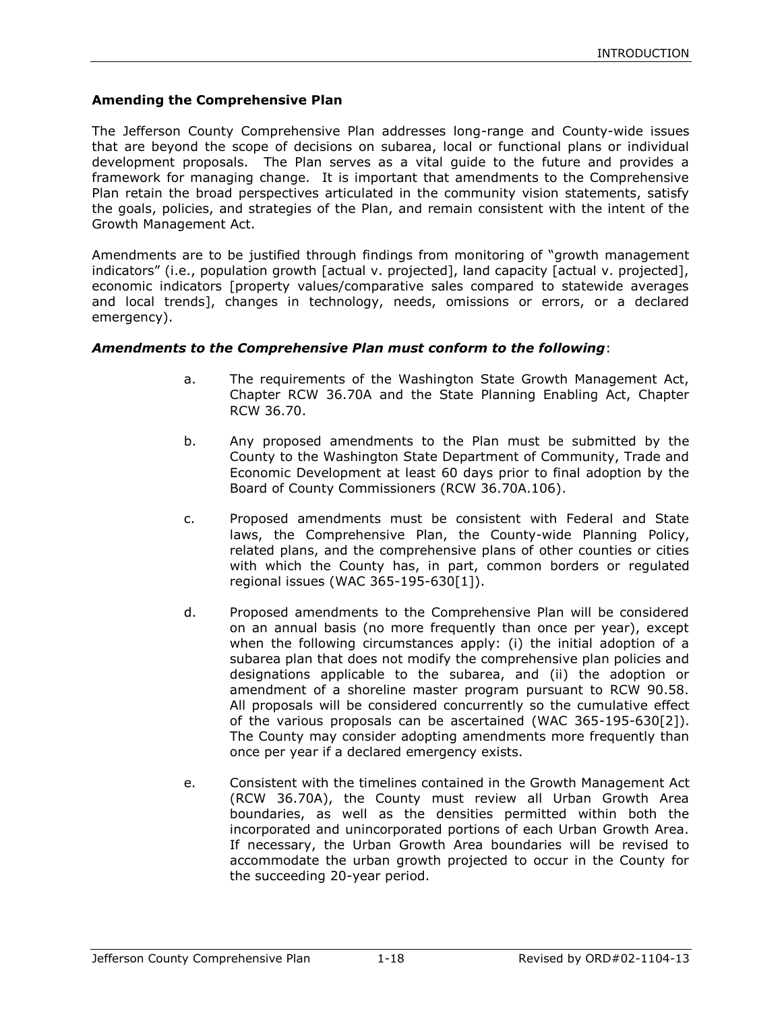### **Amending the Comprehensive Plan**

The Jefferson County Comprehensive Plan addresses long-range and County-wide issues that are beyond the scope of decisions on subarea, local or functional plans or individual development proposals. The Plan serves as a vital guide to the future and provides a framework for managing change. It is important that amendments to the Comprehensive Plan retain the broad perspectives articulated in the community vision statements, satisfy the goals, policies, and strategies of the Plan, and remain consistent with the intent of the Growth Management Act.

Amendments are to be justified through findings from monitoring of "growth management indicators" (i.e., population growth [actual v. projected], land capacity [actual v. projected], economic indicators [property values/comparative sales compared to statewide averages and local trends], changes in technology, needs, omissions or errors, or a declared emergency).

#### *Amendments to the Comprehensive Plan must conform to the following*:

- a. The requirements of the Washington State Growth Management Act, Chapter RCW 36.70A and the State Planning Enabling Act, Chapter RCW 36.70.
- b. Any proposed amendments to the Plan must be submitted by the County to the Washington State Department of Community, Trade and Economic Development at least 60 days prior to final adoption by the Board of County Commissioners (RCW 36.70A.106).
- c. Proposed amendments must be consistent with Federal and State laws, the Comprehensive Plan, the County-wide Planning Policy, related plans, and the comprehensive plans of other counties or cities with which the County has, in part, common borders or regulated regional issues (WAC 365-195-630[1]).
- d. Proposed amendments to the Comprehensive Plan will be considered on an annual basis (no more frequently than once per year), except when the following circumstances apply: (i) the initial adoption of a subarea plan that does not modify the comprehensive plan policies and designations applicable to the subarea, and (ii) the adoption or amendment of a shoreline master program pursuant to RCW 90.58. All proposals will be considered concurrently so the cumulative effect of the various proposals can be ascertained (WAC 365-195-630[2]). The County may consider adopting amendments more frequently than once per year if a declared emergency exists.
- e. Consistent with the timelines contained in the Growth Management Act (RCW 36.70A), the County must review all Urban Growth Area boundaries, as well as the densities permitted within both the incorporated and unincorporated portions of each Urban Growth Area. If necessary, the Urban Growth Area boundaries will be revised to accommodate the urban growth projected to occur in the County for the succeeding 20-year period.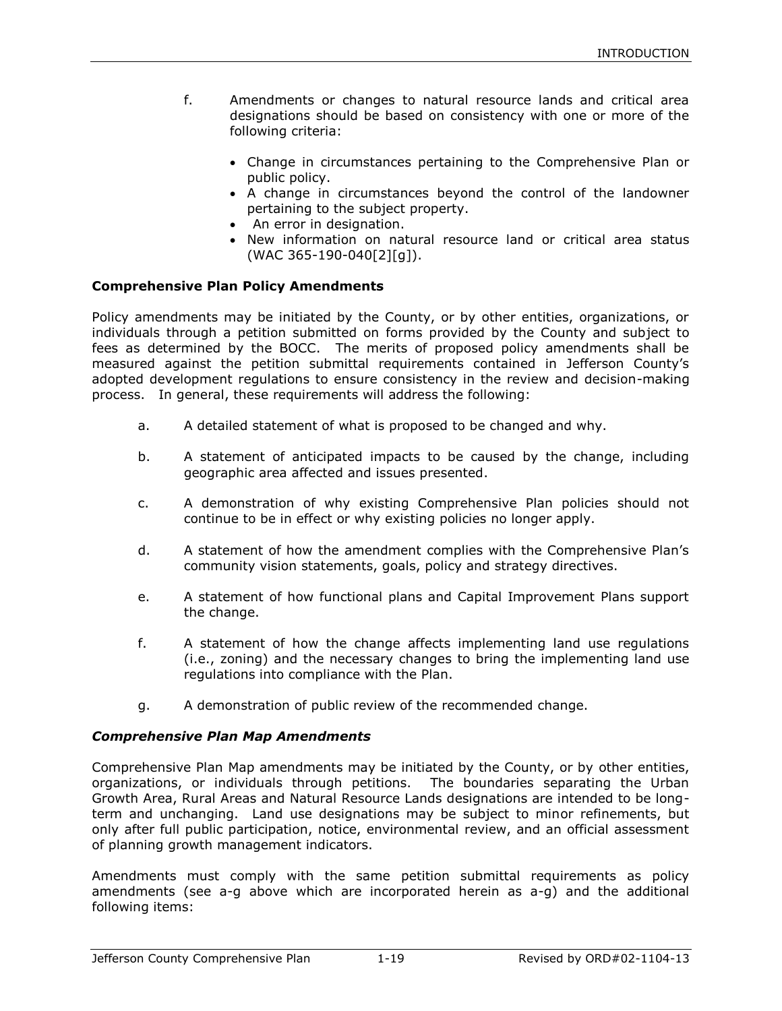- f. Amendments or changes to natural resource lands and critical area designations should be based on consistency with one or more of the following criteria:
	- Change in circumstances pertaining to the Comprehensive Plan or public policy.
	- A change in circumstances beyond the control of the landowner pertaining to the subject property.
	- An error in designation.
	- New information on natural resource land or critical area status (WAC 365-190-040[2][g]).

#### **Comprehensive Plan Policy Amendments**

Policy amendments may be initiated by the County, or by other entities, organizations, or individuals through a petition submitted on forms provided by the County and subject to fees as determined by the BOCC. The merits of proposed policy amendments shall be measured against the petition submittal requirements contained in Jefferson County's adopted development regulations to ensure consistency in the review and decision-making process. In general, these requirements will address the following:

- a. A detailed statement of what is proposed to be changed and why.
- b. A statement of anticipated impacts to be caused by the change, including geographic area affected and issues presented.
- c. A demonstration of why existing Comprehensive Plan policies should not continue to be in effect or why existing policies no longer apply.
- d. A statement of how the amendment complies with the Comprehensive Plan's community vision statements, goals, policy and strategy directives.
- e. A statement of how functional plans and Capital Improvement Plans support the change.
- f. A statement of how the change affects implementing land use regulations (i.e., zoning) and the necessary changes to bring the implementing land use regulations into compliance with the Plan.
- g. A demonstration of public review of the recommended change.

#### *Comprehensive Plan Map Amendments*

Comprehensive Plan Map amendments may be initiated by the County, or by other entities, organizations, or individuals through petitions. The boundaries separating the Urban Growth Area, Rural Areas and Natural Resource Lands designations are intended to be longterm and unchanging. Land use designations may be subject to minor refinements, but only after full public participation, notice, environmental review, and an official assessment of planning growth management indicators.

Amendments must comply with the same petition submittal requirements as policy amendments (see a-g above which are incorporated herein as a-g) and the additional following items: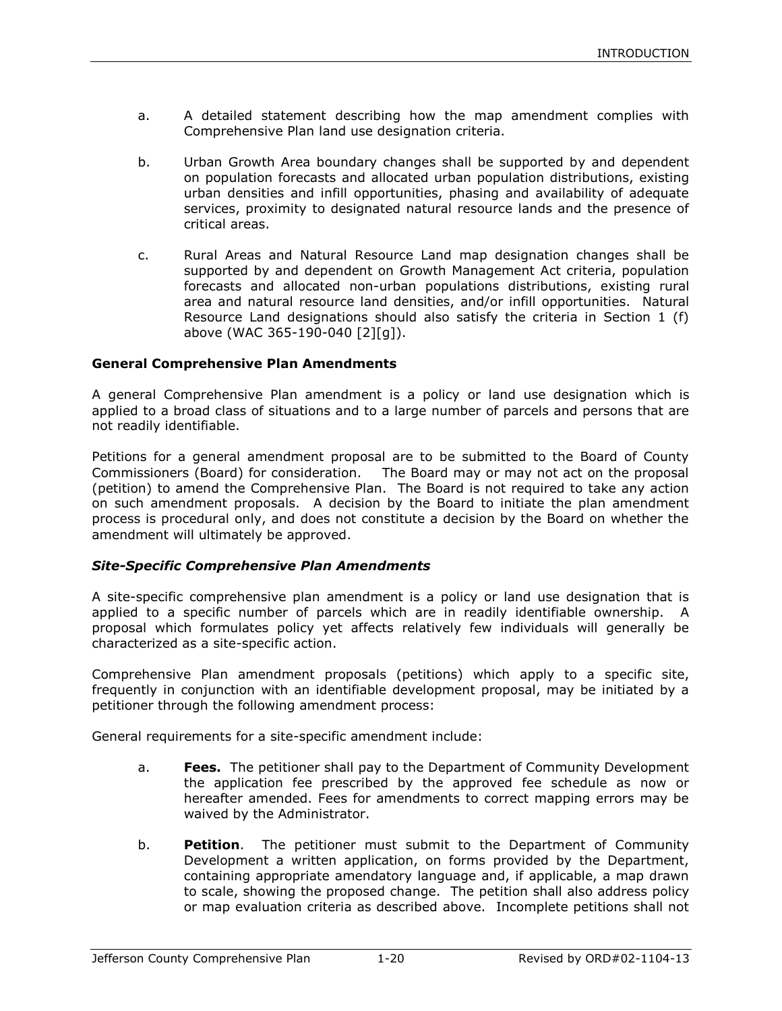- a. A detailed statement describing how the map amendment complies with Comprehensive Plan land use designation criteria.
- b. Urban Growth Area boundary changes shall be supported by and dependent on population forecasts and allocated urban population distributions, existing urban densities and infill opportunities, phasing and availability of adequate services, proximity to designated natural resource lands and the presence of critical areas.
- c. Rural Areas and Natural Resource Land map designation changes shall be supported by and dependent on Growth Management Act criteria, population forecasts and allocated non-urban populations distributions, existing rural area and natural resource land densities, and/or infill opportunities. Natural Resource Land designations should also satisfy the criteria in Section 1 (f) above (WAC 365-190-040 [2][g]).

#### **General Comprehensive Plan Amendments**

A general Comprehensive Plan amendment is a policy or land use designation which is applied to a broad class of situations and to a large number of parcels and persons that are not readily identifiable.

Petitions for a general amendment proposal are to be submitted to the Board of County Commissioners (Board) for consideration. The Board may or may not act on the proposal (petition) to amend the Comprehensive Plan. The Board is not required to take any action on such amendment proposals. A decision by the Board to initiate the plan amendment process is procedural only, and does not constitute a decision by the Board on whether the amendment will ultimately be approved.

#### *Site-Specific Comprehensive Plan Amendments*

A site-specific comprehensive plan amendment is a policy or land use designation that is applied to a specific number of parcels which are in readily identifiable ownership. A proposal which formulates policy yet affects relatively few individuals will generally be characterized as a site-specific action.

Comprehensive Plan amendment proposals (petitions) which apply to a specific site, frequently in conjunction with an identifiable development proposal, may be initiated by a petitioner through the following amendment process:

General requirements for a site-specific amendment include:

- a. **Fees.** The petitioner shall pay to the Department of Community Development the application fee prescribed by the approved fee schedule as now or hereafter amended. Fees for amendments to correct mapping errors may be waived by the Administrator.
- b. **Petition**. The petitioner must submit to the Department of Community Development a written application, on forms provided by the Department, containing appropriate amendatory language and, if applicable, a map drawn to scale, showing the proposed change. The petition shall also address policy or map evaluation criteria as described above. Incomplete petitions shall not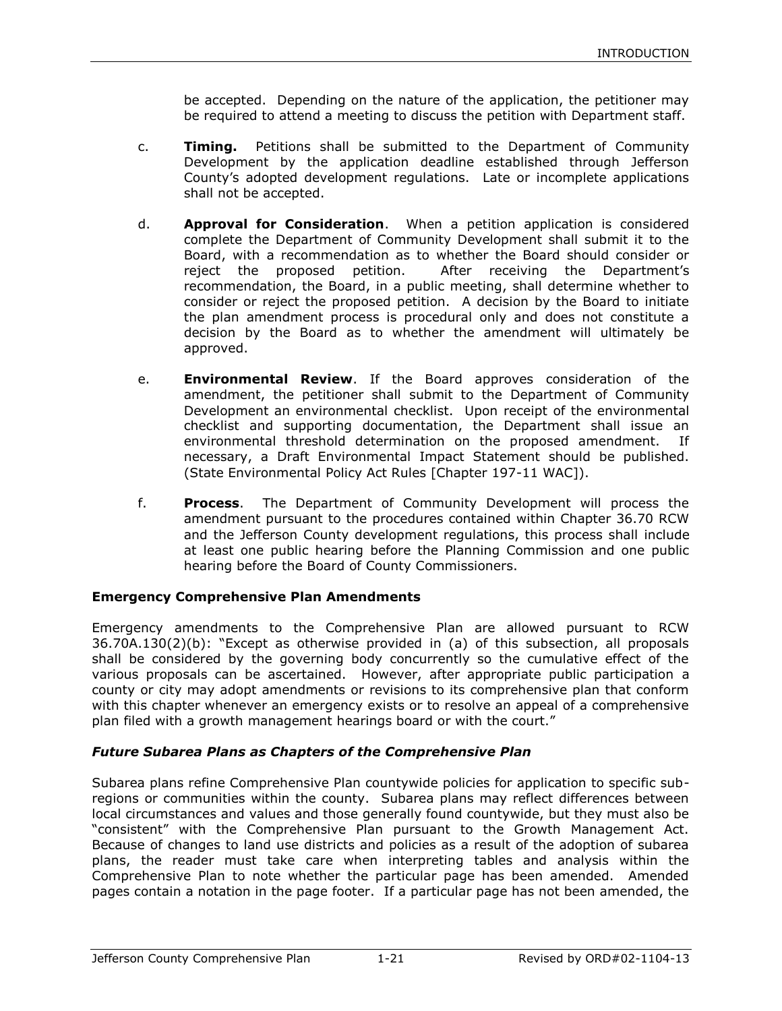be accepted. Depending on the nature of the application, the petitioner may be required to attend a meeting to discuss the petition with Department staff.

- c. **Timing.** Petitions shall be submitted to the Department of Community Development by the application deadline established through Jefferson County's adopted development regulations. Late or incomplete applications shall not be accepted.
- d. **Approval for Consideration**. When a petition application is considered complete the Department of Community Development shall submit it to the Board, with a recommendation as to whether the Board should consider or reject the proposed petition. After receiving the Department's recommendation, the Board, in a public meeting, shall determine whether to consider or reject the proposed petition. A decision by the Board to initiate the plan amendment process is procedural only and does not constitute a decision by the Board as to whether the amendment will ultimately be approved.
- e. **Environmental Review**. If the Board approves consideration of the amendment, the petitioner shall submit to the Department of Community Development an environmental checklist. Upon receipt of the environmental checklist and supporting documentation, the Department shall issue an environmental threshold determination on the proposed amendment. If necessary, a Draft Environmental Impact Statement should be published. (State Environmental Policy Act Rules [Chapter 197-11 WAC]).
- f. **Process**. The Department of Community Development will process the amendment pursuant to the procedures contained within Chapter 36.70 RCW and the Jefferson County development regulations, this process shall include at least one public hearing before the Planning Commission and one public hearing before the Board of County Commissioners.

## **Emergency Comprehensive Plan Amendments**

Emergency amendments to the Comprehensive Plan are allowed pursuant to RCW 36.70A.130(2)(b): "Except as otherwise provided in (a) of this subsection, all proposals shall be considered by the governing body concurrently so the cumulative effect of the various proposals can be ascertained. However, after appropriate public participation a county or city may adopt amendments or revisions to its comprehensive plan that conform with this chapter whenever an emergency exists or to resolve an appeal of a comprehensive plan filed with a growth management hearings board or with the court."

## *Future Subarea Plans as Chapters of the Comprehensive Plan*

Subarea plans refine Comprehensive Plan countywide policies for application to specific subregions or communities within the county. Subarea plans may reflect differences between local circumstances and values and those generally found countywide, but they must also be "consistent" with the Comprehensive Plan pursuant to the Growth Management Act. Because of changes to land use districts and policies as a result of the adoption of subarea plans, the reader must take care when interpreting tables and analysis within the Comprehensive Plan to note whether the particular page has been amended. Amended pages contain a notation in the page footer. If a particular page has not been amended, the